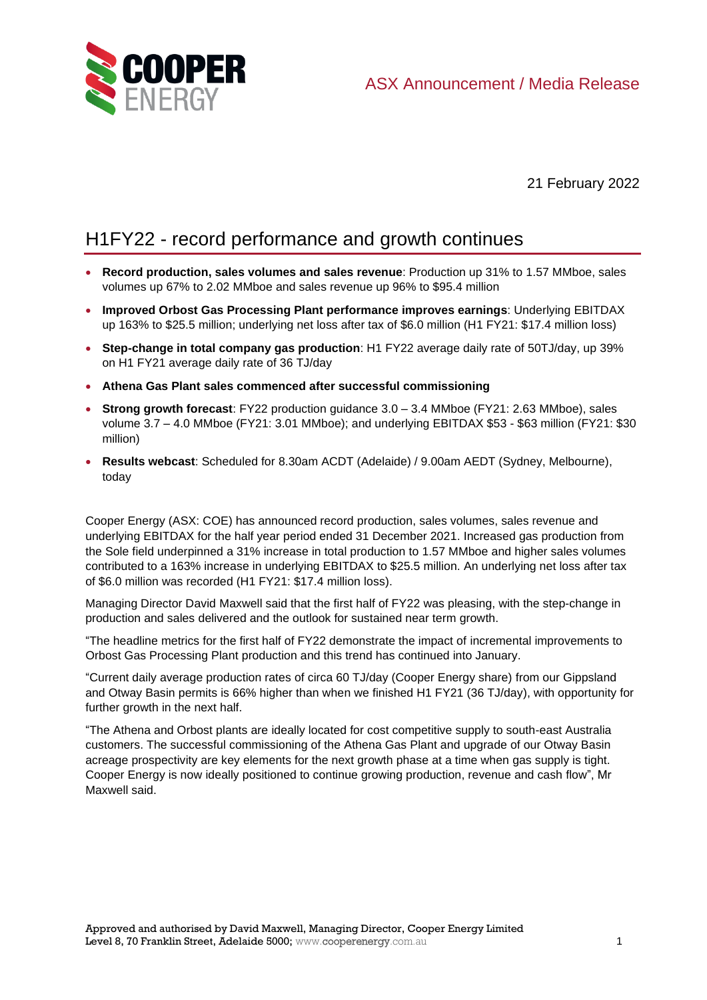

21 February 2022

# H1FY22 - record performance and growth continues

- **Record production, sales volumes and sales revenue**: Production up 31% to 1.57 MMboe, sales volumes up 67% to 2.02 MMboe and sales revenue up 96% to \$95.4 million
- **Improved Orbost Gas Processing Plant performance improves earnings**: Underlying EBITDAX up 163% to \$25.5 million; underlying net loss after tax of \$6.0 million (H1 FY21: \$17.4 million loss)
- **Step-change in total company gas production**: H1 FY22 average daily rate of 50TJ/day, up 39% on H1 FY21 average daily rate of 36 TJ/day
- **Athena Gas Plant sales commenced after successful commissioning**
- **Strong growth forecast**: FY22 production guidance 3.0 3.4 MMboe (FY21: 2.63 MMboe), sales volume 3.7 – 4.0 MMboe (FY21: 3.01 MMboe); and underlying EBITDAX \$53 - \$63 million (FY21: \$30 million)
- **Results webcast**: Scheduled for 8.30am ACDT (Adelaide) / 9.00am AEDT (Sydney, Melbourne), today

Cooper Energy (ASX: COE) has announced record production, sales volumes, sales revenue and underlying EBITDAX for the half year period ended 31 December 2021. Increased gas production from the Sole field underpinned a 31% increase in total production to 1.57 MMboe and higher sales volumes contributed to a 163% increase in underlying EBITDAX to \$25.5 million. An underlying net loss after tax of \$6.0 million was recorded (H1 FY21: \$17.4 million loss).

Managing Director David Maxwell said that the first half of FY22 was pleasing, with the step-change in production and sales delivered and the outlook for sustained near term growth.

"The headline metrics for the first half of FY22 demonstrate the impact of incremental improvements to Orbost Gas Processing Plant production and this trend has continued into January.

"Current daily average production rates of circa 60 TJ/day (Cooper Energy share) from our Gippsland and Otway Basin permits is 66% higher than when we finished H1 FY21 (36 TJ/day), with opportunity for further growth in the next half.

"The Athena and Orbost plants are ideally located for cost competitive supply to south-east Australia customers. The successful commissioning of the Athena Gas Plant and upgrade of our Otway Basin acreage prospectivity are key elements for the next growth phase at a time when gas supply is tight. Cooper Energy is now ideally positioned to continue growing production, revenue and cash flow", Mr Maxwell said.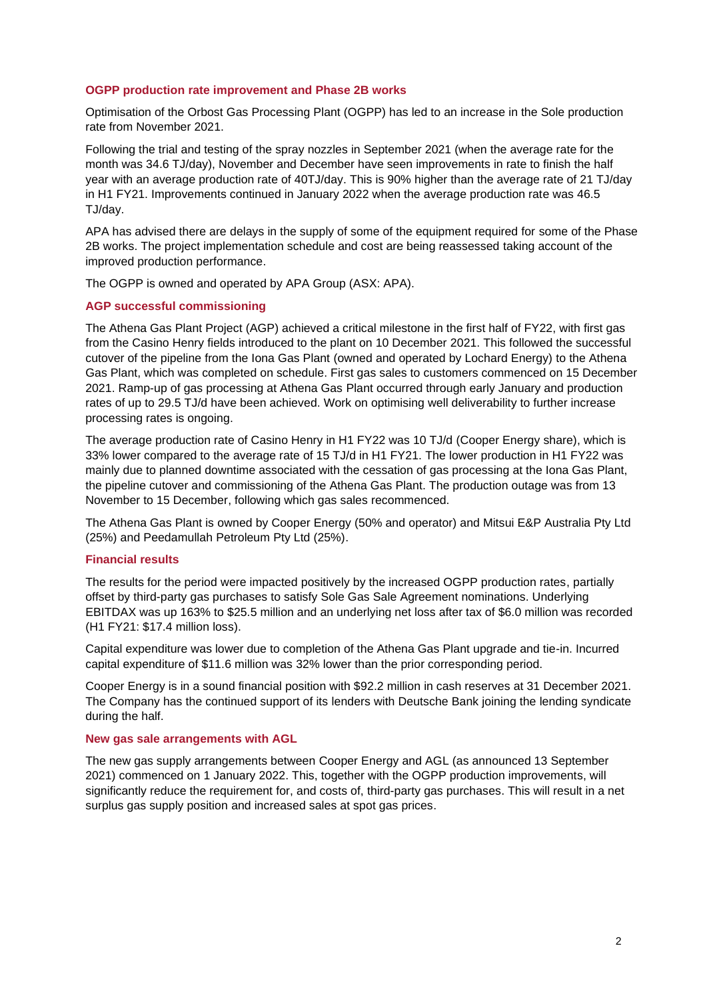## **OGPP production rate improvement and Phase 2B works**

Optimisation of the Orbost Gas Processing Plant (OGPP) has led to an increase in the Sole production rate from November 2021.

Following the trial and testing of the spray nozzles in September 2021 (when the average rate for the month was 34.6 TJ/day), November and December have seen improvements in rate to finish the half year with an average production rate of 40TJ/day. This is 90% higher than the average rate of 21 TJ/day in H1 FY21. Improvements continued in January 2022 when the average production rate was 46.5 TJ/day.

APA has advised there are delays in the supply of some of the equipment required for some of the Phase 2B works. The project implementation schedule and cost are being reassessed taking account of the improved production performance.

The OGPP is owned and operated by APA Group (ASX: APA).

## **AGP successful commissioning**

The Athena Gas Plant Project (AGP) achieved a critical milestone in the first half of FY22, with first gas from the Casino Henry fields introduced to the plant on 10 December 2021. This followed the successful cutover of the pipeline from the Iona Gas Plant (owned and operated by Lochard Energy) to the Athena Gas Plant, which was completed on schedule. First gas sales to customers commenced on 15 December 2021. Ramp-up of gas processing at Athena Gas Plant occurred through early January and production rates of up to 29.5 TJ/d have been achieved. Work on optimising well deliverability to further increase processing rates is ongoing.

The average production rate of Casino Henry in H1 FY22 was 10 TJ/d (Cooper Energy share), which is 33% lower compared to the average rate of 15 TJ/d in H1 FY21. The lower production in H1 FY22 was mainly due to planned downtime associated with the cessation of gas processing at the Iona Gas Plant, the pipeline cutover and commissioning of the Athena Gas Plant. The production outage was from 13 November to 15 December, following which gas sales recommenced.

The Athena Gas Plant is owned by Cooper Energy (50% and operator) and Mitsui E&P Australia Pty Ltd (25%) and Peedamullah Petroleum Pty Ltd (25%).

#### **Financial results**

The results for the period were impacted positively by the increased OGPP production rates, partially offset by third-party gas purchases to satisfy Sole Gas Sale Agreement nominations. Underlying EBITDAX was up 163% to \$25.5 million and an underlying net loss after tax of \$6.0 million was recorded (H1 FY21: \$17.4 million loss).

Capital expenditure was lower due to completion of the Athena Gas Plant upgrade and tie-in. Incurred capital expenditure of \$11.6 million was 32% lower than the prior corresponding period.

Cooper Energy is in a sound financial position with \$92.2 million in cash reserves at 31 December 2021. The Company has the continued support of its lenders with Deutsche Bank joining the lending syndicate during the half.

#### **New gas sale arrangements with AGL**

The new gas supply arrangements between Cooper Energy and AGL (as announced 13 September 2021) commenced on 1 January 2022. This, together with the OGPP production improvements, will significantly reduce the requirement for, and costs of, third-party gas purchases. This will result in a net surplus gas supply position and increased sales at spot gas prices.